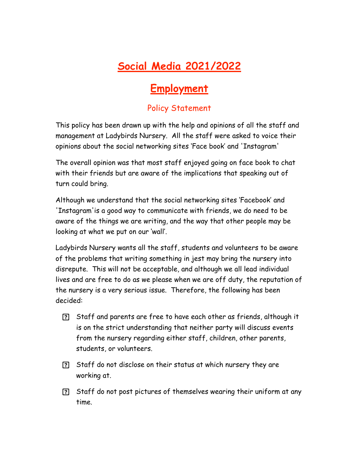## **Social Media 2021/2022**

## **Employment**

## Policy Statement

This policy has been drawn up with the help and opinions of all the staff and management at Ladybirds Nursery. All the staff were asked to voice their opinions about the social networking sites 'Face book' and 'Instagram'

The overall opinion was that most staff enjoyed going on face book to chat with their friends but are aware of the implications that speaking out of turn could bring.

Although we understand that the social networking sites 'Facebook' and 'Instagram'is a good way to communicate with friends, we do need to be aware of the things we are writing, and the way that other people may be looking at what we put on our 'wall'.

Ladybirds Nursery wants all the staff, students and volunteers to be aware of the problems that writing something in jest may bring the nursery into disrepute. This will not be acceptable, and although we all lead individual lives and are free to do as we please when we are off duty, the reputation of the nursery is a very serious issue. Therefore, the following has been decided:

- Staff and parents are free to have each other as friends, although it is on the strict understanding that neither party will discuss events from the nursery regarding either staff, children, other parents, students, or volunteers.
- Staff do not disclose on their status at which nursery they are working at.
- Staff do not post pictures of themselves wearing their uniform at any time.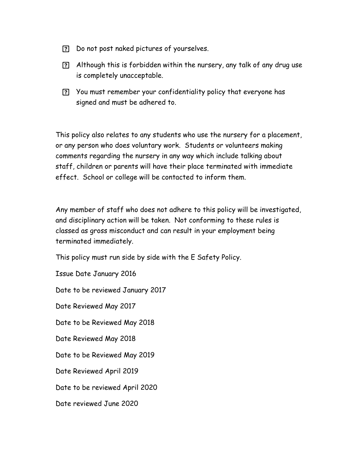- Do not post naked pictures of yourselves.
- Although this is forbidden within the nursery, any talk of any drug use is completely unacceptable.
- You must remember your confidentiality policy that everyone has signed and must be adhered to.

This policy also relates to any students who use the nursery for a placement, or any person who does voluntary work. Students or volunteers making comments regarding the nursery in any way which include talking about staff, children or parents will have their place terminated with immediate effect. School or college will be contacted to inform them.

Any member of staff who does not adhere to this policy will be investigated, and disciplinary action will be taken. Not conforming to these rules is classed as gross misconduct and can result in your employment being terminated immediately.

This policy must run side by side with the E Safety Policy.

Issue Date January 2016

Date to be reviewed January 2017

Date Reviewed May 2017

Date to be Reviewed May 2018

Date Reviewed May 2018

Date to be Reviewed May 2019

Date Reviewed April 2019

Date to be reviewed April 2020

Date reviewed June 2020